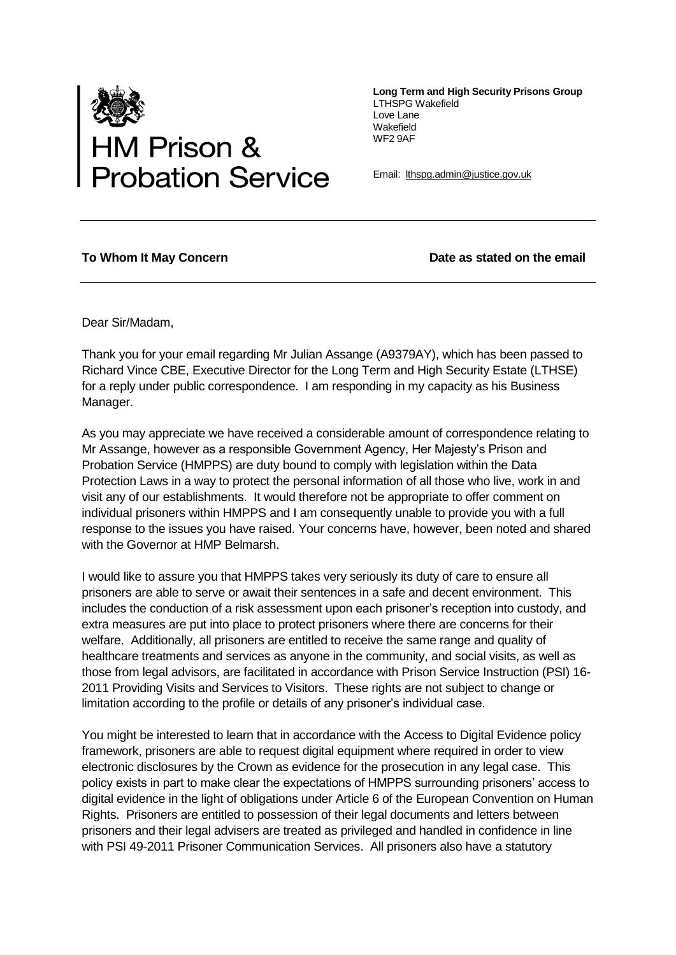

**Long Term and High Security Prisons Group** LTHSPG Wakefield Love Lane Wakefield WF2 9AF

Email: [lthspg.admin@justice.gov.uk](mailto:hspg.admin@justice.gov.uk)

## To Whom It May Concern **Date as stated on the email**

Dear Sir/Madam,

Thank you for your email regarding Mr Julian Assange (A9379AY), which has been passed to Richard Vince CBE, Executive Director for the Long Term and High Security Estate (LTHSE) for a reply under public correspondence. I am responding in my capacity as his Business Manager.

As you may appreciate we have received a considerable amount of correspondence relating to Mr Assange, however as a responsible Government Agency, Her Majesty's Prison and Probation Service (HMPPS) are duty bound to comply with legislation within the Data Protection Laws in a way to protect the personal information of all those who live, work in and visit any of our establishments. It would therefore not be appropriate to offer comment on individual prisoners within HMPPS and I am consequently unable to provide you with a full response to the issues you have raised. Your concerns have, however, been noted and shared with the Governor at HMP Belmarsh.

I would like to assure you that HMPPS takes very seriously its duty of care to ensure all prisoners are able to serve or await their sentences in a safe and decent environment. This includes the conduction of a risk assessment upon each prisoner's reception into custody, and extra measures are put into place to protect prisoners where there are concerns for their welfare. Additionally, all prisoners are entitled to receive the same range and quality of healthcare treatments and services as anyone in the community, and social visits, as well as those from legal advisors, are facilitated in accordance with Prison Service Instruction (PSI) 16- 2011 Providing Visits and Services to Visitors. These rights are not subject to change or limitation according to the profile or details of any prisoner's individual case.

You might be interested to learn that in accordance with the Access to Digital Evidence policy framework, prisoners are able to request digital equipment where required in order to view electronic disclosures by the Crown as evidence for the prosecution in any legal case. This policy exists in part to make clear the expectations of HMPPS surrounding prisoners' access to digital evidence in the light of obligations under Article 6 of the European Convention on Human Rights. Prisoners are entitled to possession of their legal documents and letters between prisoners and their legal advisers are treated as privileged and handled in confidence in line with PSI 49-2011 Prisoner Communication Services. All prisoners also have a statutory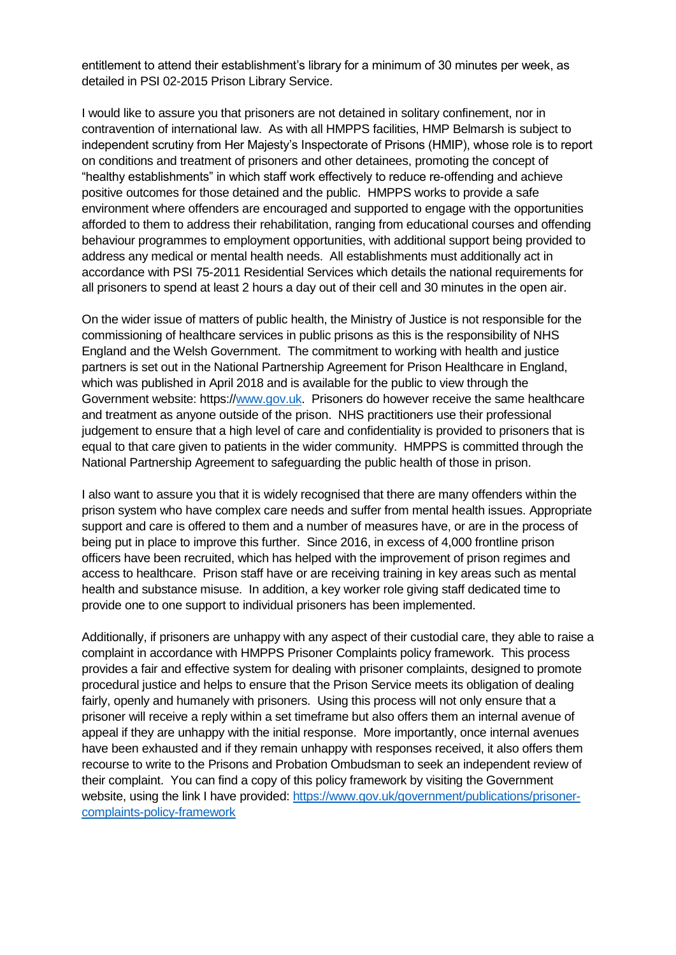entitlement to attend their establishment's library for a minimum of 30 minutes per week, as detailed in PSI 02-2015 Prison Library Service.

I would like to assure you that prisoners are not detained in solitary confinement, nor in contravention of international law. As with all HMPPS facilities, HMP Belmarsh is subject to independent scrutiny from Her Majesty's Inspectorate of Prisons (HMIP), whose role is to report on conditions and treatment of prisoners and other detainees, promoting the concept of "healthy establishments" in which staff work effectively to reduce re-offending and achieve positive outcomes for those detained and the public. HMPPS works to provide a safe environment where offenders are encouraged and supported to engage with the opportunities afforded to them to address their rehabilitation, ranging from educational courses and offending behaviour programmes to employment opportunities, with additional support being provided to address any medical or mental health needs. All establishments must additionally act in accordance with PSI 75-2011 Residential Services which details the national requirements for all prisoners to spend at least 2 hours a day out of their cell and 30 minutes in the open air.

On the wider issue of matters of public health, the Ministry of Justice is not responsible for the commissioning of healthcare services in public prisons as this is the responsibility of NHS England and the Welsh Government. The commitment to working with health and justice partners is set out in the National Partnership Agreement for Prison Healthcare in England, which was published in April 2018 and is available for the public to view through the Government website: https:/[/www.gov.uk.](http://www.gov.uk/) Prisoners do however receive the same healthcare and treatment as anyone outside of the prison. NHS practitioners use their professional judgement to ensure that a high level of care and confidentiality is provided to prisoners that is equal to that care given to patients in the wider community. HMPPS is committed through the National Partnership Agreement to safeguarding the public health of those in prison.

I also want to assure you that it is widely recognised that there are many offenders within the prison system who have complex care needs and suffer from mental health issues. Appropriate support and care is offered to them and a number of measures have, or are in the process of being put in place to improve this further. Since 2016, in excess of 4,000 frontline prison officers have been recruited, which has helped with the improvement of prison regimes and access to healthcare. Prison staff have or are receiving training in key areas such as mental health and substance misuse. In addition, a key worker role giving staff dedicated time to provide one to one support to individual prisoners has been implemented.

Additionally, if prisoners are unhappy with any aspect of their custodial care, they able to raise a complaint in accordance with HMPPS Prisoner Complaints policy framework. This process provides a fair and effective system for dealing with prisoner complaints, designed to promote procedural justice and helps to ensure that the Prison Service meets its obligation of dealing fairly, openly and humanely with prisoners. Using this process will not only ensure that a prisoner will receive a reply within a set timeframe but also offers them an internal avenue of appeal if they are unhappy with the initial response. More importantly, once internal avenues have been exhausted and if they remain unhappy with responses received, it also offers them recourse to write to the Prisons and Probation Ombudsman to seek an independent review of their complaint. You can find a copy of this policy framework by visiting the Government website, using the link I have provided: [https://www.gov.uk/government/publications/prisoner](https://www.gov.uk/government/publications/prisoner-complaints-policy-framework)[complaints-policy-framework](https://www.gov.uk/government/publications/prisoner-complaints-policy-framework)